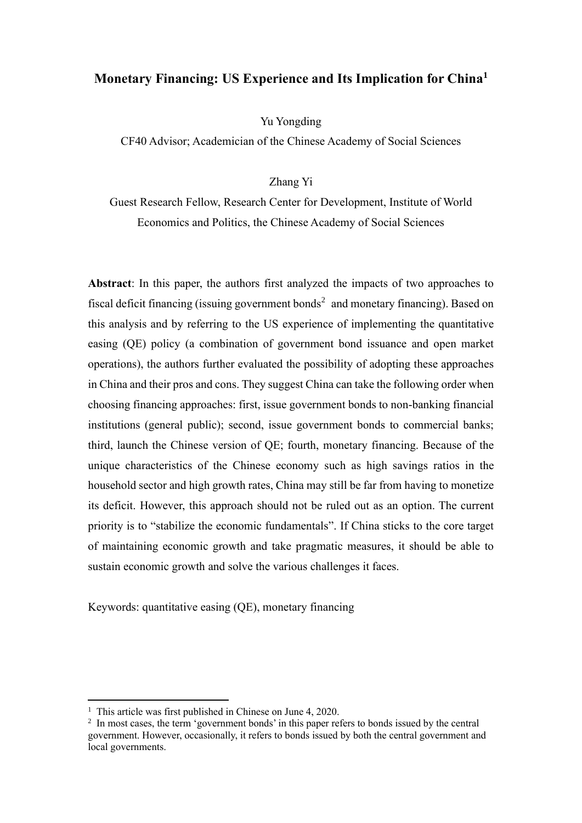# **Monetary Financing: US Experience and Its Implication for China<sup>1</sup>**

Yu Yongding

CF40 Advisor; Academician of the Chinese Academy of Social Sciences

Zhang Yi

Guest Research Fellow, Research Center for Development, Institute of World Economics and Politics, the Chinese Academy of Social Sciences

**Abstract**: In this paper, the authors first analyzed the impacts of two approaches to fiscal deficit financing (issuing government bonds<sup>2</sup> and monetary financing). Based on this analysis and by referring to the US experience of implementing the quantitative easing (QE) policy (a combination of government bond issuance and open market operations), the authors further evaluated the possibility of adopting these approaches in China and their pros and cons. They suggest China can take the following order when choosing financing approaches: first, issue government bonds to non-banking financial institutions (general public); second, issue government bonds to commercial banks; third, launch the Chinese version of QE; fourth, monetary financing. Because of the unique characteristics of the Chinese economy such as high savings ratios in the household sector and high growth rates, China may still be far from having to monetize its deficit. However, this approach should not be ruled out as an option. The current priority is to "stabilize the economic fundamentals". If China sticks to the core target of maintaining economic growth and take pragmatic measures, it should be able to sustain economic growth and solve the various challenges it faces.

Keywords: quantitative easing (QE), monetary financing

<sup>&</sup>lt;sup>1</sup> This article was first published in Chinese on June 4, 2020.

<sup>&</sup>lt;sup>2</sup> In most cases, the term 'government bonds' in this paper refers to bonds issued by the central government. However, occasionally, it refers to bonds issued by both the central government and local governments.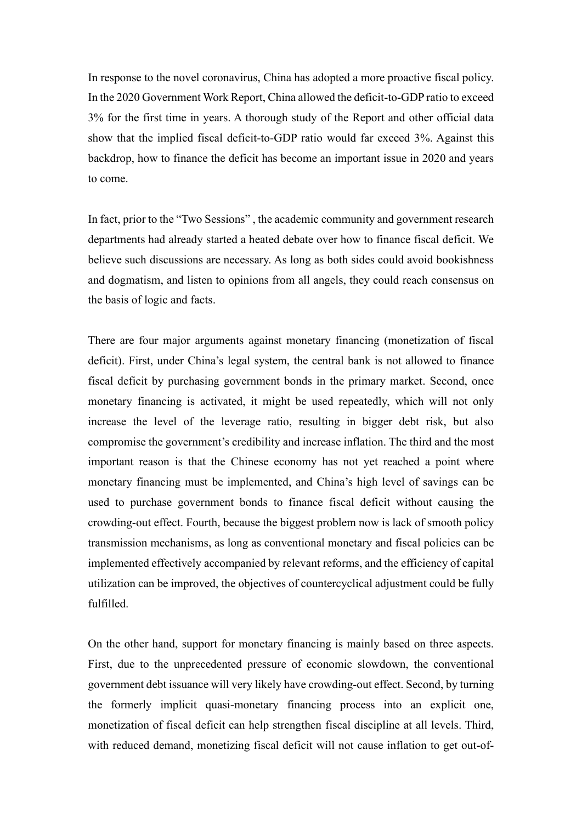In response to the novel coronavirus, China has adopted a more proactive fiscal policy. In the 2020 Government Work Report, China allowed the deficit-to-GDP ratio to exceed 3% for the first time in years. A thorough study of the Report and other official data show that the implied fiscal deficit-to-GDP ratio would far exceed 3%. Against this backdrop, how to finance the deficit has become an important issue in 2020 and years to come.

In fact, prior to the "Two Sessions" , the academic community and government research departments had already started a heated debate over how to finance fiscal deficit. We believe such discussions are necessary. As long as both sides could avoid bookishness and dogmatism, and listen to opinions from all angels, they could reach consensus on the basis of logic and facts.

There are four major arguments against monetary financing (monetization of fiscal deficit). First, under China's legal system, the central bank is not allowed to finance fiscal deficit by purchasing government bonds in the primary market. Second, once monetary financing is activated, it might be used repeatedly, which will not only increase the level of the leverage ratio, resulting in bigger debt risk, but also compromise the government's credibility and increase inflation. The third and the most important reason is that the Chinese economy has not yet reached a point where monetary financing must be implemented, and China's high level of savings can be used to purchase government bonds to finance fiscal deficit without causing the crowding-out effect. Fourth, because the biggest problem now is lack of smooth policy transmission mechanisms, as long as conventional monetary and fiscal policies can be implemented effectively accompanied by relevant reforms, and the efficiency of capital utilization can be improved, the objectives of countercyclical adjustment could be fully fulfilled.

On the other hand, support for monetary financing is mainly based on three aspects. First, due to the unprecedented pressure of economic slowdown, the conventional government debt issuance will very likely have crowding-out effect. Second, by turning the formerly implicit quasi-monetary financing process into an explicit one, monetization of fiscal deficit can help strengthen fiscal discipline at all levels. Third, with reduced demand, monetizing fiscal deficit will not cause inflation to get out-of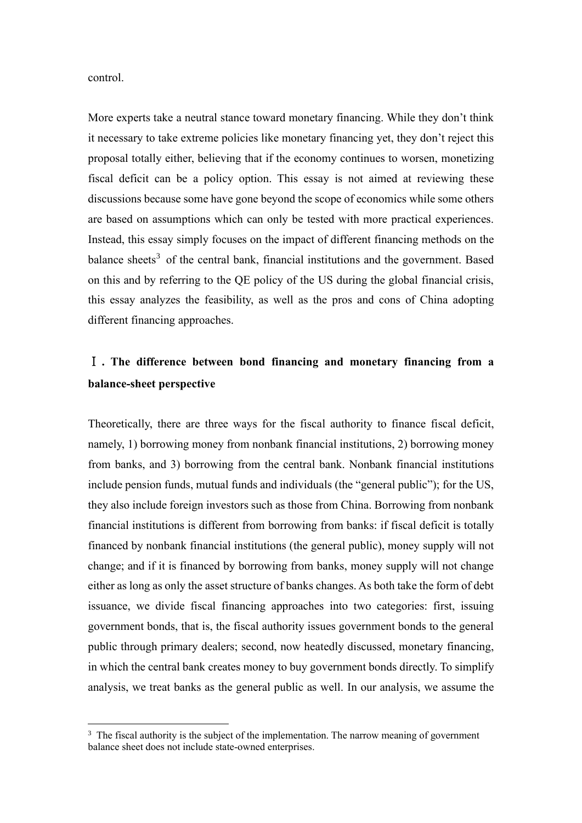control.

More experts take a neutral stance toward monetary financing. While they don't think it necessary to take extreme policies like monetary financing yet, they don't reject this proposal totally either, believing that if the economy continues to worsen, monetizing fiscal deficit can be a policy option. This essay is not aimed at reviewing these discussions because some have gone beyond the scope of economics while some others are based on assumptions which can only be tested with more practical experiences. Instead, this essay simply focuses on the impact of different financing methods on the balance sheets<sup>3</sup> of the central bank, financial institutions and the government. Based on this and by referring to the QE policy of the US during the global financial crisis, this essay analyzes the feasibility, as well as the pros and cons of China adopting different financing approaches.

# Ⅰ **. The difference between bond financing and monetary financing from a balance-sheet perspective**

Theoretically, there are three ways for the fiscal authority to finance fiscal deficit, namely, 1) borrowing money from nonbank financial institutions, 2) borrowing money from banks, and 3) borrowing from the central bank. Nonbank financial institutions include pension funds, mutual funds and individuals (the "general public"); for the US, they also include foreign investors such as those from China. Borrowing from nonbank financial institutions is different from borrowing from banks: if fiscal deficit is totally financed by nonbank financial institutions (the general public), money supply will not change; and if it is financed by borrowing from banks, money supply will not change either as long as only the asset structure of banks changes. As both take the form of debt issuance, we divide fiscal financing approaches into two categories: first, issuing government bonds, that is, the fiscal authority issues government bonds to the general public through primary dealers; second, now heatedly discussed, monetary financing, in which the central bank creates money to buy government bonds directly. To simplify analysis, we treat banks as the general public as well. In our analysis, we assume the

 $3$  The fiscal authority is the subject of the implementation. The narrow meaning of government balance sheet does not include state-owned enterprises.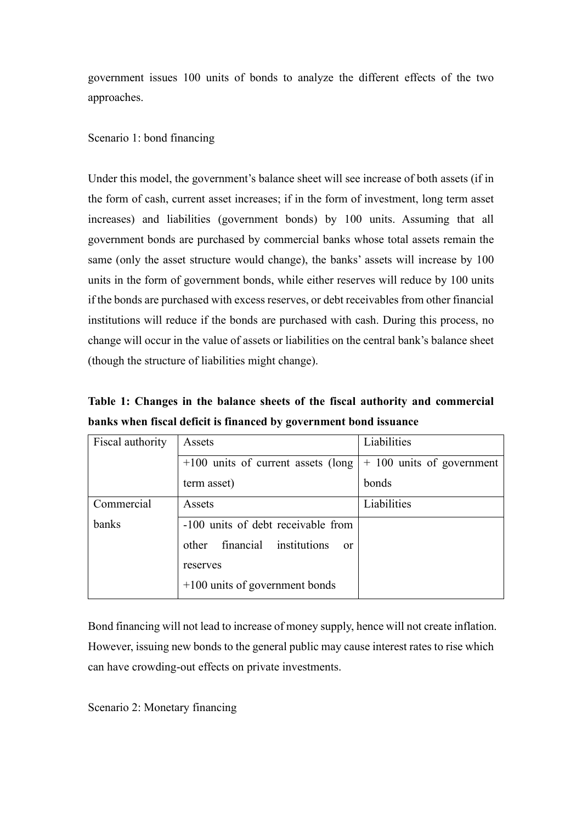government issues 100 units of bonds to analyze the different effects of the two approaches.

## Scenario 1: bond financing

Under this model, the government's balance sheet will see increase of both assets (if in the form of cash, current asset increases; if in the form of investment, long term asset increases) and liabilities (government bonds) by 100 units. Assuming that all government bonds are purchased by commercial banks whose total assets remain the same (only the asset structure would change), the banks' assets will increase by 100 units in the form of government bonds, while either reserves will reduce by 100 units if the bonds are purchased with excess reserves, or debt receivables from other financial institutions will reduce if the bonds are purchased with cash. During this process, no change will occur in the value of assets or liabilities on the central bank's balance sheet (though the structure of liabilities might change).

**Table 1: Changes in the balance sheets of the fiscal authority and commercial banks when fiscal deficit is financed by government bond issuance**

| Fiscal authority | Assets                                           | Liabilities                 |
|------------------|--------------------------------------------------|-----------------------------|
|                  | $+100$ units of current assets (long             | $+$ 100 units of government |
|                  | term asset)                                      | bonds                       |
| Commercial       | Assets                                           | Liabilities                 |
| banks            | -100 units of debt receivable from               |                             |
|                  | financial institutions<br>other<br><sub>or</sub> |                             |
|                  | reserves                                         |                             |
|                  | $+100$ units of government bonds                 |                             |

Bond financing will not lead to increase of money supply, hence will not create inflation. However, issuing new bonds to the general public may cause interest rates to rise which can have crowding-out effects on private investments.

Scenario 2: Monetary financing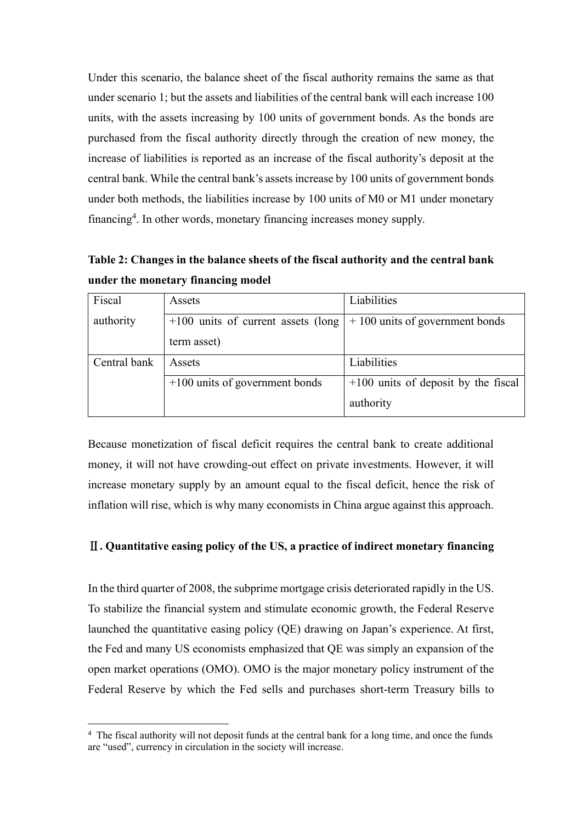Under this scenario, the balance sheet of the fiscal authority remains the same as that under scenario 1; but the assets and liabilities of the central bank will each increase 100 units, with the assets increasing by 100 units of government bonds. As the bonds are purchased from the fiscal authority directly through the creation of new money, the increase of liabilities is reported as an increase of the fiscal authority's deposit at the central bank. While the central bank's assets increase by 100 units of government bonds under both methods, the liabilities increase by 100 units of M0 or M1 under monetary financing<sup>4</sup> . In other words, monetary financing increases money supply.

**Table 2: Changes in the balance sheets of the fiscal authority and the central bank under the monetary financing model**

| Fiscal       | <b>Assets</b>                        | Liabilities                           |
|--------------|--------------------------------------|---------------------------------------|
| authority    | $+100$ units of current assets (long | $+100$ units of government bonds      |
|              | term asset)                          |                                       |
| Central bank | Assets                               | Liabilities                           |
|              | $+100$ units of government bonds     | $+100$ units of deposit by the fiscal |
|              |                                      | authority                             |

Because monetization of fiscal deficit requires the central bank to create additional money, it will not have crowding-out effect on private investments. However, it will increase monetary supply by an amount equal to the fiscal deficit, hence the risk of inflation will rise, which is why many economists in China argue against this approach.

## Ⅱ**. Quantitative easing policy of the US, a practice of indirect monetary financing**

In the third quarter of 2008, the subprime mortgage crisis deteriorated rapidly in the US. To stabilize the financial system and stimulate economic growth, the Federal Reserve launched the quantitative easing policy (QE) drawing on Japan's experience. At first, the Fed and many US economists emphasized that QE was simply an expansion of the open market operations (OMO). OMO is the major monetary policy instrument of the Federal Reserve by which the Fed sells and purchases short-term Treasury bills to

<sup>&</sup>lt;sup>4</sup> The fiscal authority will not deposit funds at the central bank for a long time, and once the funds are "used", currency in circulation in the society will increase.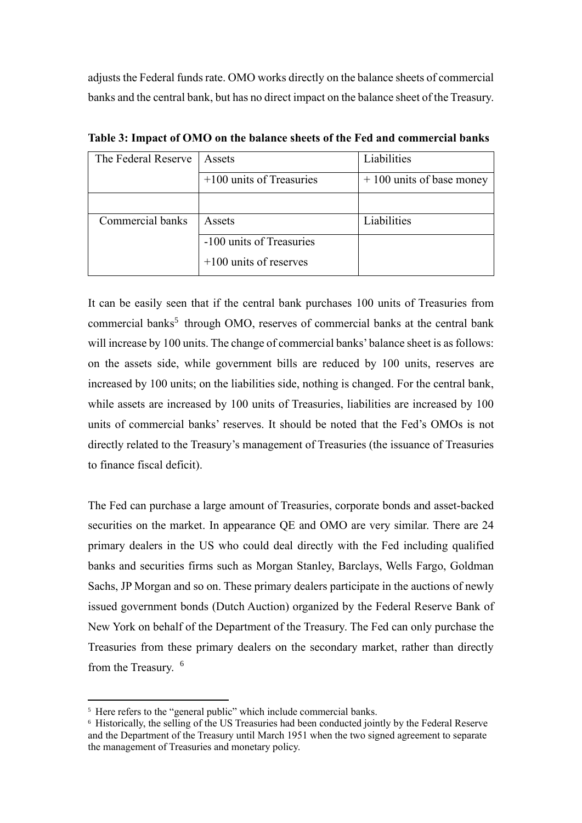adjusts the Federal funds rate. OMO works directly on the balance sheets of commercial banks and the central bank, but has no direct impact on the balance sheet of the Treasury.

| The Federal Reserve | Assets                     | Liabilities                |
|---------------------|----------------------------|----------------------------|
|                     |                            |                            |
|                     | $+100$ units of Treasuries | $+100$ units of base money |
|                     |                            |                            |
|                     |                            |                            |
|                     |                            |                            |
| Commercial banks    | Assets                     | Liabilities                |
|                     |                            |                            |
|                     | -100 units of Treasuries   |                            |
|                     |                            |                            |
|                     | $+100$ units of reserves   |                            |
|                     |                            |                            |
|                     |                            |                            |

**Table 3: Impact of OMO on the balance sheets of the Fed and commercial banks**

It can be easily seen that if the central bank purchases 100 units of Treasuries from commercial banks<sup>5</sup> through OMO, reserves of commercial banks at the central bank will increase by 100 units. The change of commercial banks' balance sheet is as follows: on the assets side, while government bills are reduced by 100 units, reserves are increased by 100 units; on the liabilities side, nothing is changed. For the central bank, while assets are increased by 100 units of Treasuries, liabilities are increased by 100 units of commercial banks' reserves. It should be noted that the Fed's OMOs is not directly related to the Treasury's management of Treasuries (the issuance of Treasuries to finance fiscal deficit).

The Fed can purchase a large amount of Treasuries, corporate bonds and asset-backed securities on the market. In appearance QE and OMO are very similar. There are 24 primary dealers in the US who could deal directly with the Fed including qualified banks and securities firms such as Morgan Stanley, Barclays, Wells Fargo, Goldman Sachs, JP Morgan and so on. These primary dealers participate in the auctions of newly issued government bonds (Dutch Auction) organized by the Federal Reserve Bank of New York on behalf of the Department of the Treasury. The Fed can only purchase the Treasuries from these primary dealers on the secondary market, rather than directly from the Treasury. <sup>6</sup>

<sup>&</sup>lt;sup>5</sup> Here refers to the "general public" which include commercial banks.

<sup>&</sup>lt;sup>6</sup> Historically, the selling of the US Treasuries had been conducted jointly by the Federal Reserve and the Department of the Treasury until March 1951 when the two signed agreement to separate the management of Treasuries and monetary policy.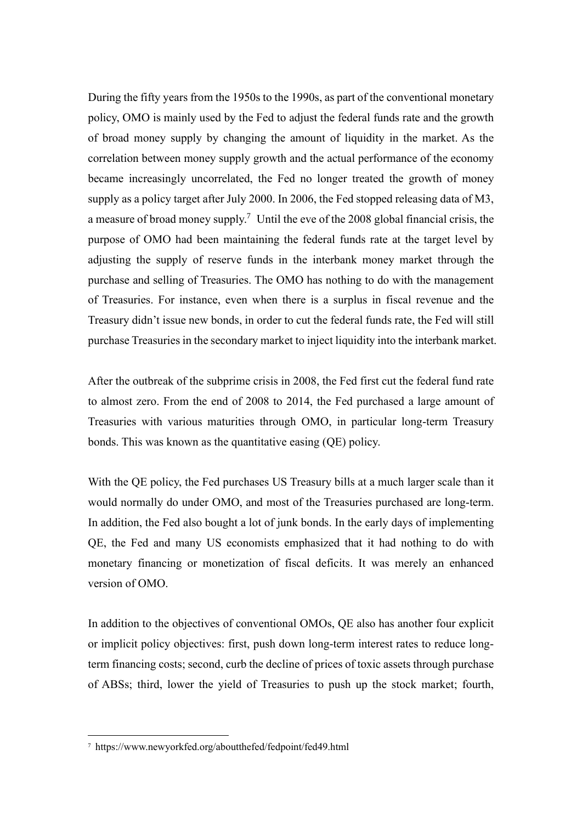During the fifty years from the 1950s to the 1990s, as part of the conventional monetary policy, OMO is mainly used by the Fed to adjust the federal funds rate and the growth of broad money supply by changing the amount of liquidity in the market. As the correlation between money supply growth and the actual performance of the economy became increasingly uncorrelated, the Fed no longer treated the growth of money supply as a policy target after July 2000. In 2006, the Fed stopped releasing data of M3, a measure of broad money supply.<sup>7</sup> Until the eve of the 2008 global financial crisis, the purpose of OMO had been maintaining the federal funds rate at the target level by adjusting the supply of reserve funds in the interbank money market through the purchase and selling of Treasuries. The OMO has nothing to do with the management of Treasuries. For instance, even when there is a surplus in fiscal revenue and the Treasury didn't issue new bonds, in order to cut the federal funds rate, the Fed will still purchase Treasuries in the secondary market to inject liquidity into the interbank market.

After the outbreak of the subprime crisis in 2008, the Fed first cut the federal fund rate to almost zero. From the end of 2008 to 2014, the Fed purchased a large amount of Treasuries with various maturities through OMO, in particular long-term Treasury bonds. This was known as the quantitative easing (QE) policy.

With the QE policy, the Fed purchases US Treasury bills at a much larger scale than it would normally do under OMO, and most of the Treasuries purchased are long-term. In addition, the Fed also bought a lot of junk bonds. In the early days of implementing QE, the Fed and many US economists emphasized that it had nothing to do with monetary financing or monetization of fiscal deficits. It was merely an enhanced version of OMO.

In addition to the objectives of conventional OMOs, QE also has another four explicit or implicit policy objectives: first, push down long-term interest rates to reduce longterm financing costs; second, curb the decline of prices of toxic assets through purchase of ABSs; third, lower the yield of Treasuries to push up the stock market; fourth,

<sup>7</sup> https://www.newyorkfed.org/aboutthefed/fedpoint/fed49.html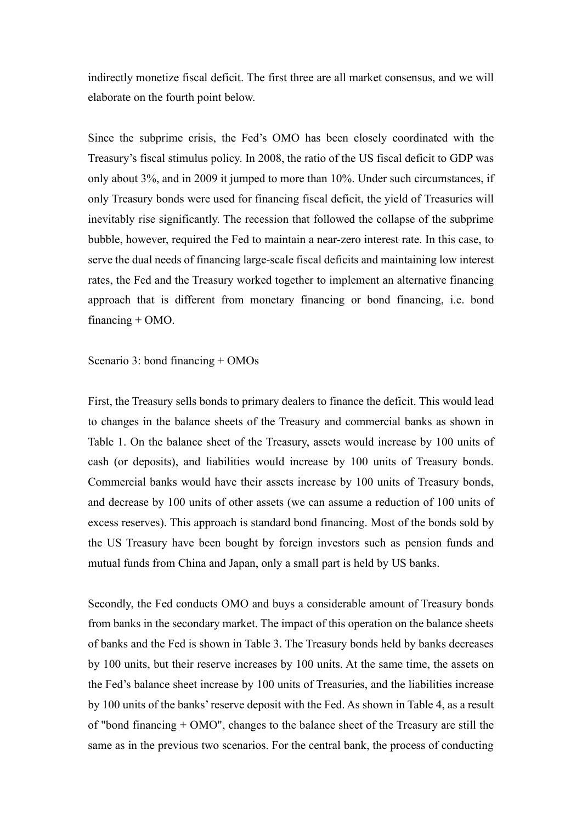indirectly monetize fiscal deficit. The first three are all market consensus, and we will elaborate on the fourth point below.

Since the subprime crisis, the Fed's OMO has been closely coordinated with the Treasury's fiscal stimulus policy. In 2008, the ratio of the US fiscal deficit to GDP was only about 3%, and in 2009 it jumped to more than 10%. Under such circumstances, if only Treasury bonds were used for financing fiscal deficit, the yield of Treasuries will inevitably rise significantly. The recession that followed the collapse of the subprime bubble, however, required the Fed to maintain a near-zero interest rate. In this case, to serve the dual needs of financing large-scale fiscal deficits and maintaining low interest rates, the Fed and the Treasury worked together to implement an alternative financing approach that is different from monetary financing or bond financing, i.e. bond financing  $+$  OMO.

Scenario 3: bond financing + OMOs

First, the Treasury sells bonds to primary dealers to finance the deficit. This would lead to changes in the balance sheets of the Treasury and commercial banks as shown in Table 1. On the balance sheet of the Treasury, assets would increase by 100 units of cash (or deposits), and liabilities would increase by 100 units of Treasury bonds. Commercial banks would have their assets increase by 100 units of Treasury bonds, and decrease by 100 units of other assets (we can assume a reduction of 100 units of excess reserves). This approach is standard bond financing. Most of the bonds sold by the US Treasury have been bought by foreign investors such as pension funds and mutual funds from China and Japan, only a small part is held by US banks.

Secondly, the Fed conducts OMO and buys a considerable amount of Treasury bonds from banks in the secondary market. The impact of this operation on the balance sheets of banks and the Fed is shown in Table 3. The Treasury bonds held by banks decreases by 100 units, but their reserve increases by 100 units. At the same time, the assets on the Fed's balance sheet increase by 100 units of Treasuries, and the liabilities increase by 100 units of the banks'reserve deposit with the Fed. As shown in Table 4, as a result of "bond financing + OMO", changes to the balance sheet of the Treasury are still the same as in the previous two scenarios. For the central bank, the process of conducting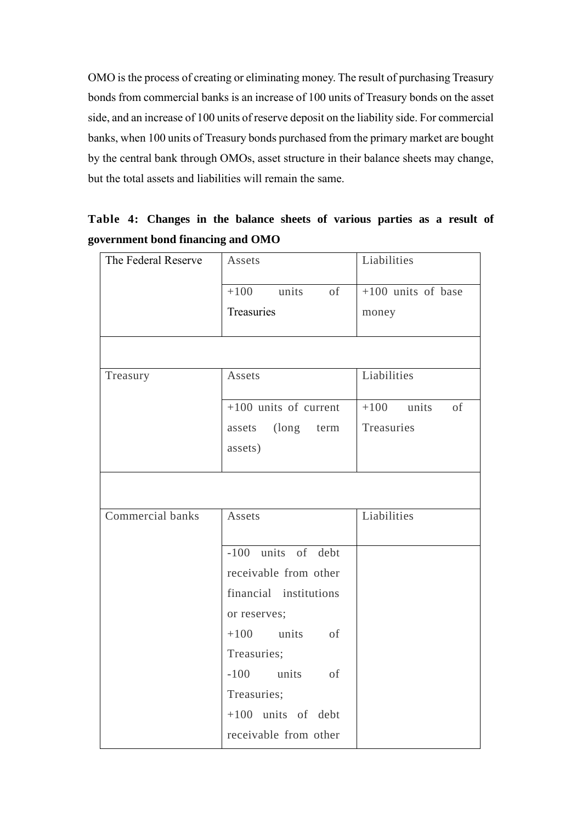OMO is the process of creating or eliminating money. The result of purchasing Treasury bonds from commercial banks is an increase of 100 units of Treasury bonds on the asset side, and an increase of 100 units of reserve deposit on the liability side. For commercial banks, when 100 units of Treasury bonds purchased from the primary market are bought by the central bank through OMOs, asset structure in their balance sheets may change, but the total assets and liabilities will remain the same.

| The Federal Reserve | Assets                  | Liabilities          |
|---------------------|-------------------------|----------------------|
|                     | $+100$ units of         | $+100$ units of base |
|                     | Treasuries              | money                |
|                     |                         |                      |
| Treasury            | Assets                  | Liabilities          |
|                     | $+100$ units of current | $+100$ units<br>of   |
|                     | assets (long<br>term    | Treasuries           |
|                     | assets)                 |                      |
|                     |                         |                      |
| Commercial banks    | Assets                  | Liabilities          |
|                     | -100 units of debt      |                      |
|                     | receivable from other   |                      |
|                     | financial institutions  |                      |
|                     | or reserves;            |                      |
|                     | $+100$ units of         |                      |
|                     | Treasuries;             |                      |
|                     | -100 units of           |                      |
|                     | Treasuries;             |                      |
|                     | $+100$ units of debt    |                      |
|                     | receivable from other   |                      |

**Table 4: Changes in the balance sheets of various parties as a result of government bond financing and OMO**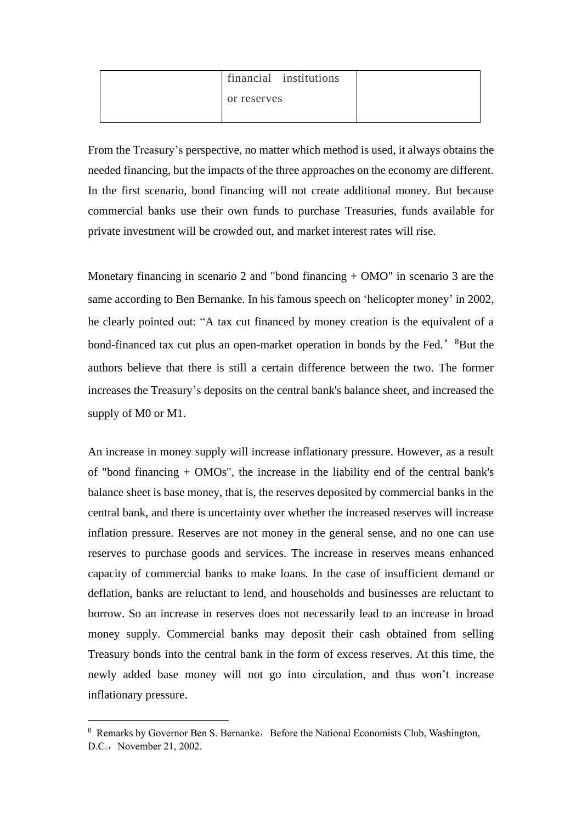| financial institutions |  |
|------------------------|--|
| or reserves            |  |
|                        |  |

From the Treasury's perspective, no matter which method is used, it always obtains the needed financing, but the impacts of the three approaches on the economy are different. In the first scenario, bond financing will not create additional money. But because commercial banks use their own funds to purchase Treasuries, funds available for private investment will be crowded out, and market interest rates will rise.

Monetary financing in scenario 2 and "bond financing + OMO" in scenario 3 are the same according to Ben Bernanke. In his famous speech on 'helicopter money' in 2002, he clearly pointed out: "A tax cut financed by money creation is the equivalent of a bond-financed tax cut plus an open-market operation in bonds by the Fed.' <sup>8</sup>But the authors believe that there is still a certain difference between the two. The former increases the Treasury's deposits on the central bank's balance sheet, and increased the supply of M0 or M1.

An increase in money supply will increase inflationary pressure. However, as a result of "bond financing + OMOs", the increase in the liability end of the central bank's balance sheet is base money, that is, the reserves deposited by commercial banks in the central bank, and there is uncertainty over whether the increased reserves will increase inflation pressure. Reserves are not money in the general sense, and no one can use reserves to purchase goods and services. The increase in reserves means enhanced capacity of commercial banks to make loans. In the case of insufficient demand or deflation, banks are reluctant to lend, and households and businesses are reluctant to borrow. So an increase in reserves does not necessarily lead to an increase in broad money supply. Commercial banks may deposit their cash obtained from selling Treasury bonds into the central bank in the form of excess reserves. At this time, the newly added base money will not go into circulation, and thus won't increase inflationary pressure.

<sup>&</sup>lt;sup>8</sup> Remarks by Governor Ben S. Bernanke, Before the National Economists Club, Washington, D.C., November 21, 2002.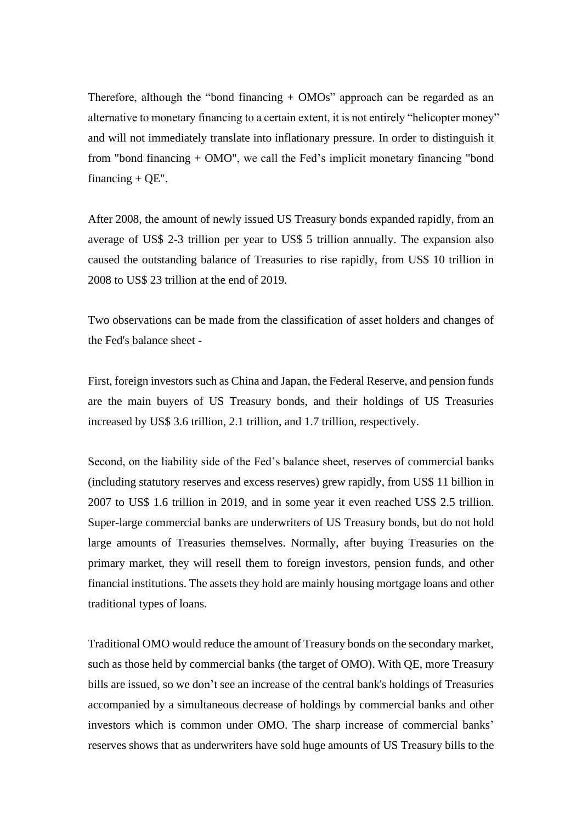Therefore, although the "bond financing + OMOs" approach can be regarded as an alternative to monetary financing to a certain extent, it is not entirely "helicopter money" and will not immediately translate into inflationary pressure. In order to distinguish it from "bond financing + OMO", we call the Fed's implicit monetary financing "bond financing  $+$  OE".

After 2008, the amount of newly issued US Treasury bonds expanded rapidly, from an average of US\$ 2-3 trillion per year to US\$ 5 trillion annually. The expansion also caused the outstanding balance of Treasuries to rise rapidly, from US\$ 10 trillion in 2008 to US\$ 23 trillion at the end of 2019.

Two observations can be made from the classification of asset holders and changes of the Fed's balance sheet -

First, foreign investors such as China and Japan, the Federal Reserve, and pension funds are the main buyers of US Treasury bonds, and their holdings of US Treasuries increased by US\$ 3.6 trillion, 2.1 trillion, and 1.7 trillion, respectively.

Second, on the liability side of the Fed's balance sheet, reserves of commercial banks (including statutory reserves and excess reserves) grew rapidly, from US\$ 11 billion in 2007 to US\$ 1.6 trillion in 2019, and in some year it even reached US\$ 2.5 trillion. Super-large commercial banks are underwriters of US Treasury bonds, but do not hold large amounts of Treasuries themselves. Normally, after buying Treasuries on the primary market, they will resell them to foreign investors, pension funds, and other financial institutions. The assets they hold are mainly housing mortgage loans and other traditional types of loans.

Traditional OMO would reduce the amount of Treasury bonds on the secondary market, such as those held by commercial banks (the target of OMO). With QE, more Treasury bills are issued, so we don't see an increase of the central bank's holdings of Treasuries accompanied by a simultaneous decrease of holdings by commercial banks and other investors which is common under OMO. The sharp increase of commercial banks' reserves shows that as underwriters have sold huge amounts of US Treasury bills to the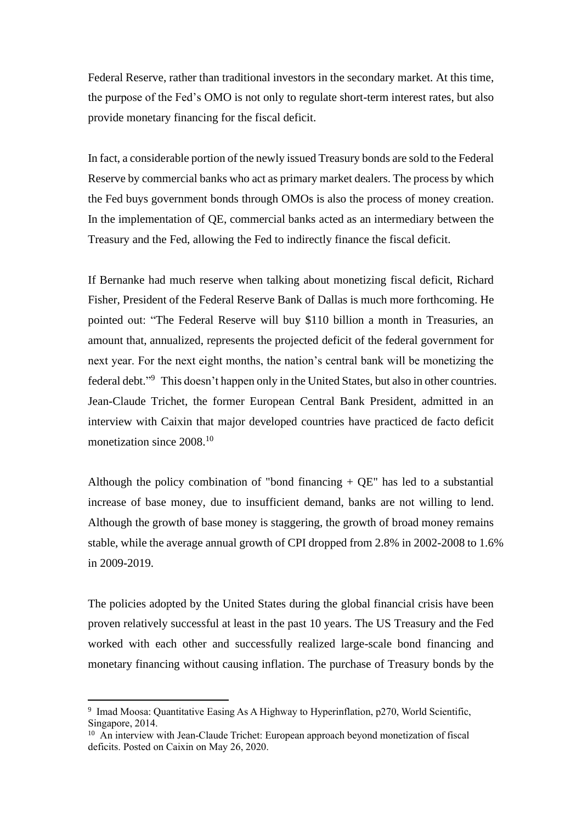Federal Reserve, rather than traditional investors in the secondary market. At this time, the purpose of the Fed's OMO is not only to regulate short-term interest rates, but also provide monetary financing for the fiscal deficit.

In fact, a considerable portion of the newly issued Treasury bonds are sold to the Federal Reserve by commercial banks who act as primary market dealers. The process by which the Fed buys government bonds through OMOs is also the process of money creation. In the implementation of QE, commercial banks acted as an intermediary between the Treasury and the Fed, allowing the Fed to indirectly finance the fiscal deficit.

If Bernanke had much reserve when talking about monetizing fiscal deficit, Richard Fisher, President of the Federal Reserve Bank of Dallas is much more forthcoming. He pointed out: "The Federal Reserve will buy \$110 billion a month in Treasuries, an amount that, annualized, represents the projected deficit of the federal government for next year. For the next eight months, the nation's central bank will be monetizing the federal debt."<sup>9</sup> This doesn't happen only in the United States, but also in other countries. Jean-Claude Trichet, the former European Central Bank President, admitted in an interview with Caixin that major developed countries have practiced de facto deficit monetization since 2008.<sup>10</sup>

Although the policy combination of "bond financing  $+ QE$ " has led to a substantial increase of base money, due to insufficient demand, banks are not willing to lend. Although the growth of base money is staggering, the growth of broad money remains stable, while the average annual growth of CPI dropped from 2.8% in 2002-2008 to 1.6% in 2009-2019.

The policies adopted by the United States during the global financial crisis have been proven relatively successful at least in the past 10 years. The US Treasury and the Fed worked with each other and successfully realized large-scale bond financing and monetary financing without causing inflation. The purchase of Treasury bonds by the

<sup>&</sup>lt;sup>9</sup> Imad Moosa: Quantitative Easing As A Highway to Hyperinflation, p270, World Scientific, Singapore, 2014.

<sup>&</sup>lt;sup>10</sup> An interview with Jean-Claude Trichet: European approach beyond monetization of fiscal deficits. Posted on Caixin on May 26, 2020.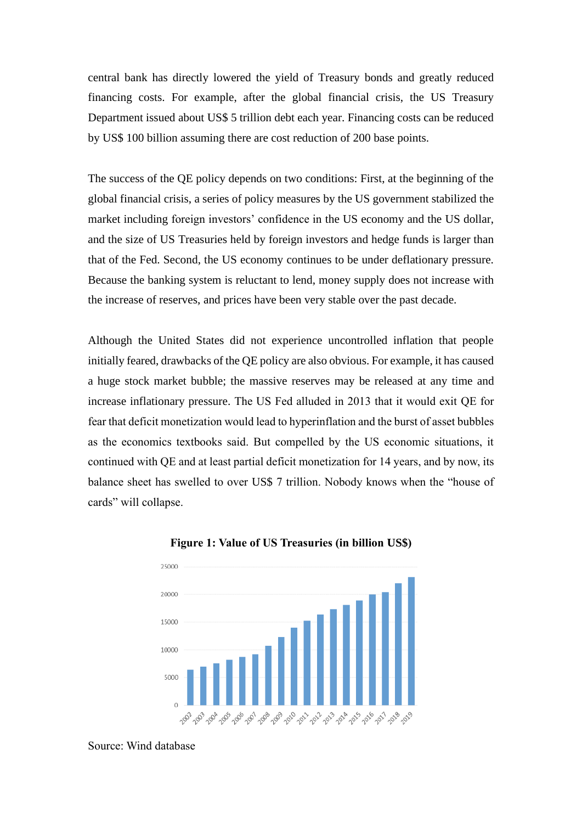central bank has directly lowered the yield of Treasury bonds and greatly reduced financing costs. For example, after the global financial crisis, the US Treasury Department issued about US\$ 5 trillion debt each year. Financing costs can be reduced by US\$ 100 billion assuming there are cost reduction of 200 base points.

The success of the QE policy depends on two conditions: First, at the beginning of the global financial crisis, a series of policy measures by the US government stabilized the market including foreign investors' confidence in the US economy and the US dollar, and the size of US Treasuries held by foreign investors and hedge funds is larger than that of the Fed. Second, the US economy continues to be under deflationary pressure. Because the banking system is reluctant to lend, money supply does not increase with the increase of reserves, and prices have been very stable over the past decade.

Although the United States did not experience uncontrolled inflation that people initially feared, drawbacks of the QE policy are also obvious. For example, it has caused a huge stock market bubble; the massive reserves may be released at any time and increase inflationary pressure. The US Fed alluded in 2013 that it would exit QE for fear that deficit monetization would lead to hyperinflation and the burst of asset bubbles as the economics textbooks said. But compelled by the US economic situations, it continued with QE and at least partial deficit monetization for 14 years, and by now, its balance sheet has swelled to over US\$ 7 trillion. Nobody knows when the "house of cards" will collapse.



**Figure 1: Value of US Treasuries (in billion US\$)**

Source: Wind database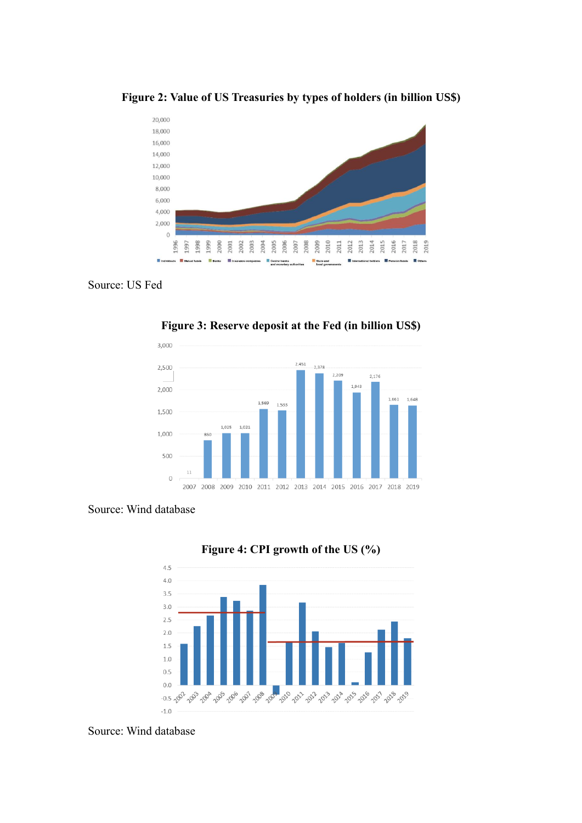

**Figure 2: Value of US Treasuries by types of holders (in billion US\$)**

Source: US Fed



**Figure 3: Reserve deposit at the Fed (in billion US\$)**

# Source: Wind database





Source: Wind database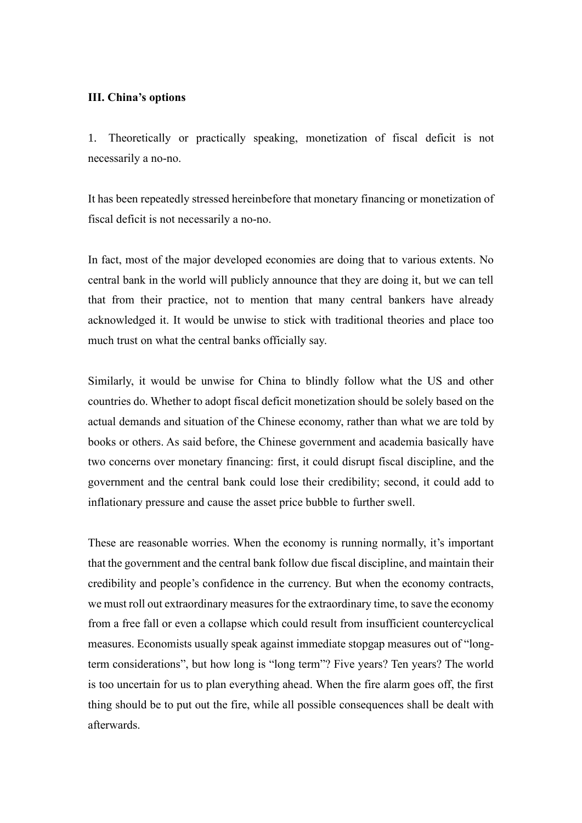#### **III. China's options**

1. Theoretically or practically speaking, monetization of fiscal deficit is not necessarily a no-no.

It has been repeatedly stressed hereinbefore that monetary financing or monetization of fiscal deficit is not necessarily a no-no.

In fact, most of the major developed economies are doing that to various extents. No central bank in the world will publicly announce that they are doing it, but we can tell that from their practice, not to mention that many central bankers have already acknowledged it. It would be unwise to stick with traditional theories and place too much trust on what the central banks officially say.

Similarly, it would be unwise for China to blindly follow what the US and other countries do. Whether to adopt fiscal deficit monetization should be solely based on the actual demands and situation of the Chinese economy, rather than what we are told by books or others. As said before, the Chinese government and academia basically have two concerns over monetary financing: first, it could disrupt fiscal discipline, and the government and the central bank could lose their credibility; second, it could add to inflationary pressure and cause the asset price bubble to further swell.

These are reasonable worries. When the economy is running normally, it's important that the government and the central bank follow due fiscal discipline, and maintain their credibility and people's confidence in the currency. But when the economy contracts, we must roll out extraordinary measures for the extraordinary time, to save the economy from a free fall or even a collapse which could result from insufficient countercyclical measures. Economists usually speak against immediate stopgap measures out of "longterm considerations", but how long is "long term"? Five years? Ten years? The world is too uncertain for us to plan everything ahead. When the fire alarm goes off, the first thing should be to put out the fire, while all possible consequences shall be dealt with afterwards.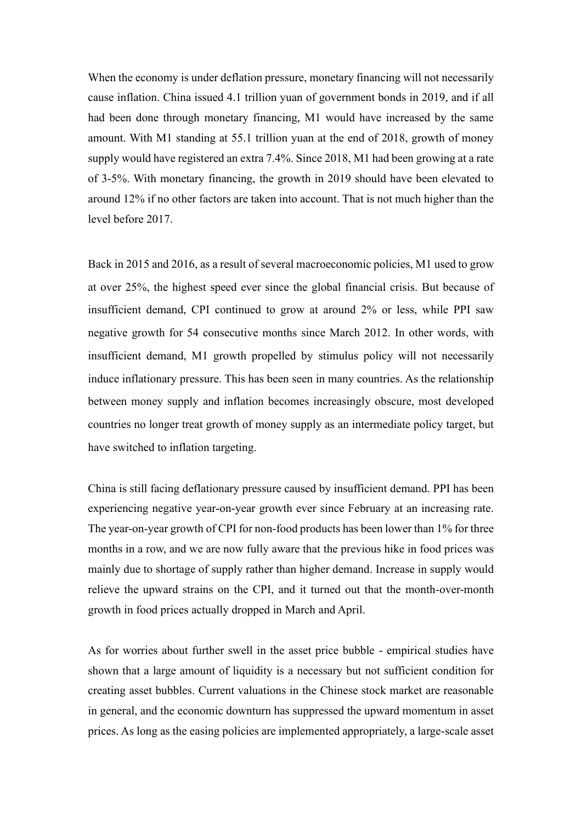When the economy is under deflation pressure, monetary financing will not necessarily cause inflation. China issued 4.1 trillion yuan of government bonds in 2019, and if all had been done through monetary financing, M1 would have increased by the same amount. With M1 standing at 55.1 trillion yuan at the end of 2018, growth of money supply would have registered an extra 7.4%. Since 2018, M1 had been growing at a rate of 3-5%. With monetary financing, the growth in 2019 should have been elevated to around 12% if no other factors are taken into account. That is not much higher than the level before 2017.

Back in 2015 and 2016, as a result of several macroeconomic policies, M1 used to grow at over 25%, the highest speed ever since the global financial crisis. But because of insufficient demand, CPI continued to grow at around 2% or less, while PPI saw negative growth for 54 consecutive months since March 2012. In other words, with insufficient demand, M1 growth propelled by stimulus policy will not necessarily induce inflationary pressure. This has been seen in many countries. As the relationship between money supply and inflation becomes increasingly obscure, most developed countries no longer treat growth of money supply as an intermediate policy target, but have switched to inflation targeting.

China is still facing deflationary pressure caused by insufficient demand. PPI has been experiencing negative year-on-year growth ever since February at an increasing rate. The year-on-year growth of CPI for non-food products has been lower than 1% for three months in a row, and we are now fully aware that the previous hike in food prices was mainly due to shortage of supply rather than higher demand. Increase in supply would relieve the upward strains on the CPI, and it turned out that the month-over-month growth in food prices actually dropped in March and April.

As for worries about further swell in the asset price bubble - empirical studies have shown that a large amount of liquidity is a necessary but not sufficient condition for creating asset bubbles. Current valuations in the Chinese stock market are reasonable in general, and the economic downturn has suppressed the upward momentum in asset prices. As long as the easing policies are implemented appropriately, a large-scale asset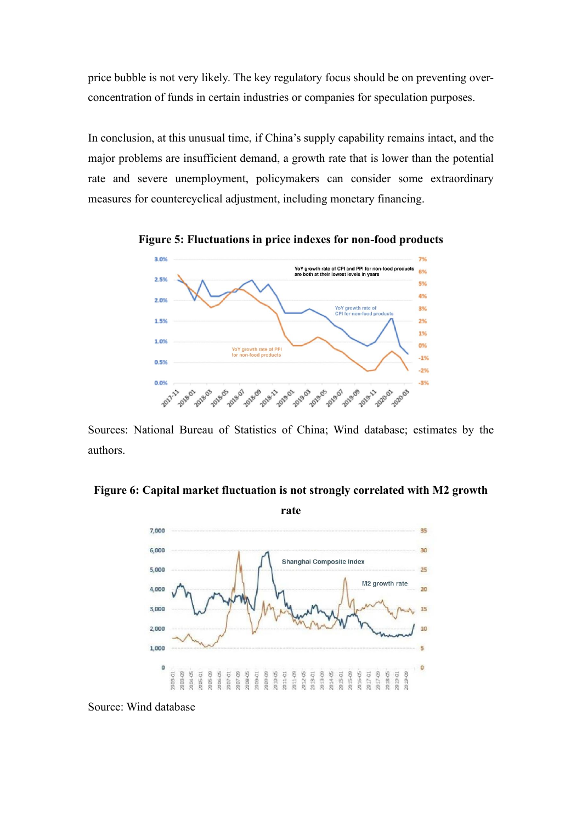price bubble is not very likely. The key regulatory focus should be on preventing overconcentration of funds in certain industries or companies for speculation purposes.

In conclusion, at this unusual time, if China's supply capability remains intact, and the major problems are insufficient demand, a growth rate that is lower than the potential rate and severe unemployment, policymakers can consider some extraordinary measures for countercyclical adjustment, including monetary financing.



**Figure 5: Fluctuations in price indexes for non-food products**

Sources: National Bureau of Statistics of China; Wind database; estimates by the authors.

**Figure 6: Capital market fluctuation is not strongly correlated with M2 growth** 



Source: Wind database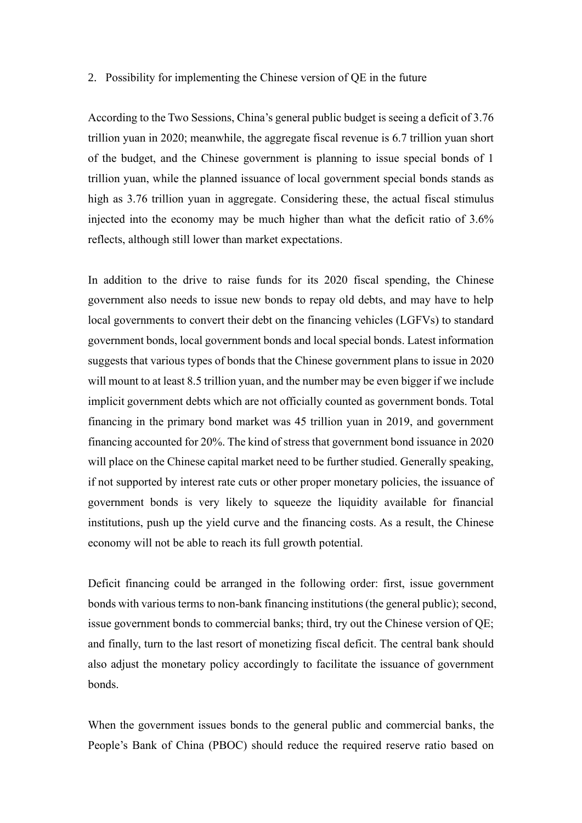#### 2. Possibility for implementing the Chinese version of QE in the future

According to the Two Sessions, China's general public budget is seeing a deficit of 3.76 trillion yuan in 2020; meanwhile, the aggregate fiscal revenue is 6.7 trillion yuan short of the budget, and the Chinese government is planning to issue special bonds of 1 trillion yuan, while the planned issuance of local government special bonds stands as high as 3.76 trillion yuan in aggregate. Considering these, the actual fiscal stimulus injected into the economy may be much higher than what the deficit ratio of 3.6% reflects, although still lower than market expectations.

In addition to the drive to raise funds for its 2020 fiscal spending, the Chinese government also needs to issue new bonds to repay old debts, and may have to help local governments to convert their debt on the financing vehicles (LGFVs) to standard government bonds, local government bonds and local special bonds. Latest information suggests that various types of bonds that the Chinese government plans to issue in 2020 will mount to at least 8.5 trillion yuan, and the number may be even bigger if we include implicit government debts which are not officially counted as government bonds. Total financing in the primary bond market was 45 trillion yuan in 2019, and government financing accounted for 20%. The kind of stress that government bond issuance in 2020 will place on the Chinese capital market need to be further studied. Generally speaking, if not supported by interest rate cuts or other proper monetary policies, the issuance of government bonds is very likely to squeeze the liquidity available for financial institutions, push up the yield curve and the financing costs. As a result, the Chinese economy will not be able to reach its full growth potential.

Deficit financing could be arranged in the following order: first, issue government bonds with various terms to non-bank financing institutions (the general public); second, issue government bonds to commercial banks; third, try out the Chinese version of QE; and finally, turn to the last resort of monetizing fiscal deficit. The central bank should also adjust the monetary policy accordingly to facilitate the issuance of government bonds.

When the government issues bonds to the general public and commercial banks, the People's Bank of China (PBOC) should reduce the required reserve ratio based on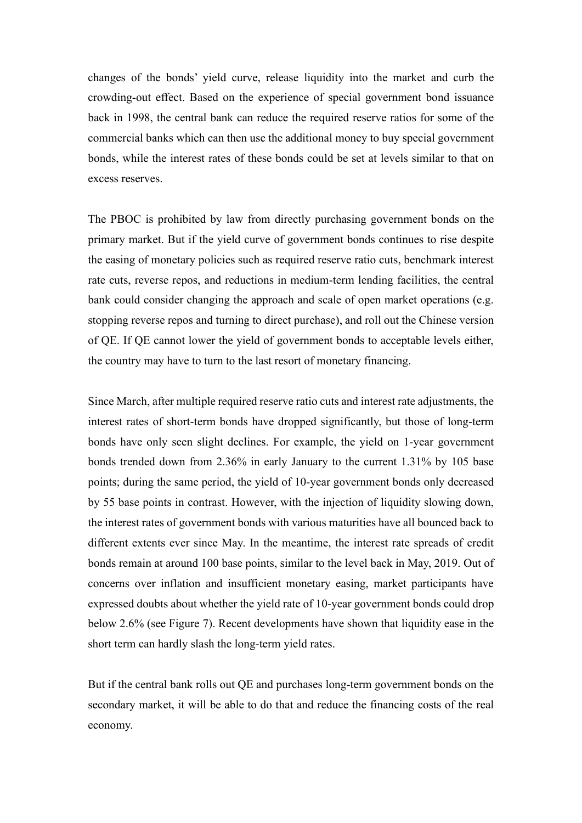changes of the bonds' yield curve, release liquidity into the market and curb the crowding-out effect. Based on the experience of special government bond issuance back in 1998, the central bank can reduce the required reserve ratios for some of the commercial banks which can then use the additional money to buy special government bonds, while the interest rates of these bonds could be set at levels similar to that on excess reserves.

The PBOC is prohibited by law from directly purchasing government bonds on the primary market. But if the yield curve of government bonds continues to rise despite the easing of monetary policies such as required reserve ratio cuts, benchmark interest rate cuts, reverse repos, and reductions in medium-term lending facilities, the central bank could consider changing the approach and scale of open market operations (e.g. stopping reverse repos and turning to direct purchase), and roll out the Chinese version of QE. If QE cannot lower the yield of government bonds to acceptable levels either, the country may have to turn to the last resort of monetary financing.

Since March, after multiple required reserve ratio cuts and interest rate adjustments, the interest rates of short-term bonds have dropped significantly, but those of long-term bonds have only seen slight declines. For example, the yield on 1-year government bonds trended down from 2.36% in early January to the current 1.31% by 105 base points; during the same period, the yield of 10-year government bonds only decreased by 55 base points in contrast. However, with the injection of liquidity slowing down, the interest rates of government bonds with various maturities have all bounced back to different extents ever since May. In the meantime, the interest rate spreads of credit bonds remain at around 100 base points, similar to the level back in May, 2019. Out of concerns over inflation and insufficient monetary easing, market participants have expressed doubts about whether the yield rate of 10-year government bonds could drop below 2.6% (see Figure 7). Recent developments have shown that liquidity ease in the short term can hardly slash the long-term yield rates.

But if the central bank rolls out QE and purchases long-term government bonds on the secondary market, it will be able to do that and reduce the financing costs of the real economy.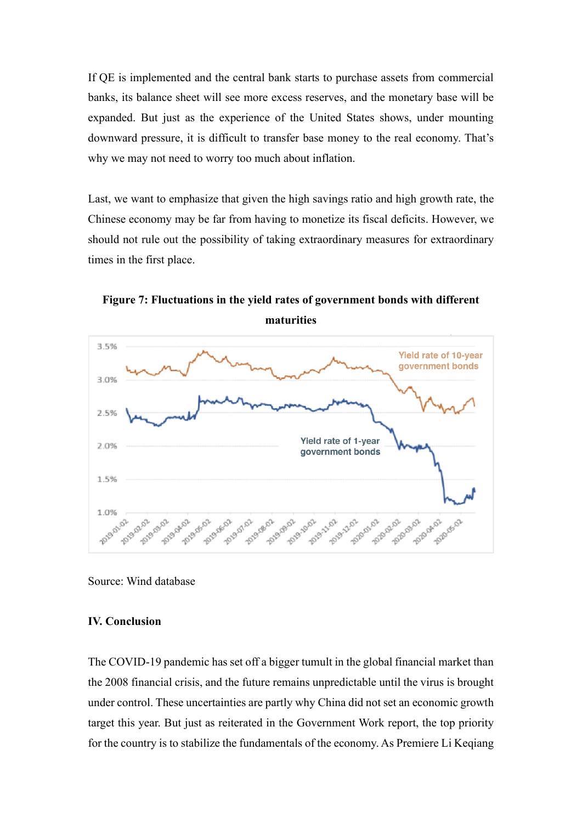If QE is implemented and the central bank starts to purchase assets from commercial banks, its balance sheet will see more excess reserves, and the monetary base will be expanded. But just as the experience of the United States shows, under mounting downward pressure, it is difficult to transfer base money to the real economy. That's why we may not need to worry too much about inflation.

Last, we want to emphasize that given the high savings ratio and high growth rate, the Chinese economy may be far from having to monetize its fiscal deficits. However, we should not rule out the possibility of taking extraordinary measures for extraordinary times in the first place.



**Figure 7: Fluctuations in the yield rates of government bonds with different maturities**

Source: Wind database

## **IV. Conclusion**

The COVID-19 pandemic has set off a bigger tumult in the global financial market than the 2008 financial crisis, and the future remains unpredictable until the virus is brought under control. These uncertainties are partly why China did not set an economic growth target this year. But just as reiterated in the Government Work report, the top priority for the country is to stabilize the fundamentals of the economy. As Premiere Li Keqiang